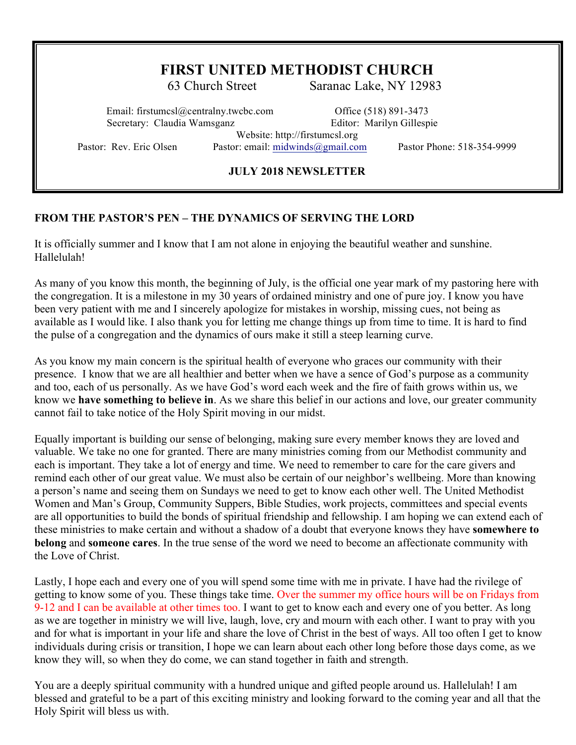# **FIRST UNITED METHODIST CHURCH**

<sup>63</sup> Church Street Saranac Lake, NY 12983

Email: firstumcsl@centralny.twcbc.com Office (518) 891-3473 Secretary: Claudia Wamsganz **Editor: Marilyn Gillespie** 

Website: http://firstumcsl.org Pastor: Rev. Eric Olsen Pastor: email: midwinds@gmail.com Pastor Phone: 518-354-9999

# **JULY 2018 NEWSLETTER**

# **FROM THE PASTOR'S PEN – THE DYNAMICS OF SERVING THE LORD**

It is officially summer and I know that I am not alone in enjoying the beautiful weather and sunshine. Hallelulah!

As many of you know this month, the beginning of July, is the official one year mark of my pastoring here with the congregation. It is a milestone in my 30 years of ordained ministry and one of pure joy. I know you have been very patient with me and I sincerely apologize for mistakes in worship, missing cues, not being as available as I would like. I also thank you for letting me change things up from time to time. It is hard to find the pulse of a congregation and the dynamics of ours make it still a steep learning curve.

As you know my main concern is the spiritual health of everyone who graces our community with their presence. I know that we are all healthier and better when we have a sence of God's purpose as a community and too, each of us personally. As we have God's word each week and the fire of faith grows within us, we know we **have something to believe in**. As we share this belief in our actions and love, our greater community cannot fail to take notice of the Holy Spirit moving in our midst.

Equally important is building our sense of belonging, making sure every member knows they are loved and valuable. We take no one for granted. There are many ministries coming from our Methodist community and each is important. They take a lot of energy and time. We need to remember to care for the care givers and remind each other of our great value. We must also be certain of our neighbor's wellbeing. More than knowing a person's name and seeing them on Sundays we need to get to know each other well. The United Methodist Women and Man's Group, Community Suppers, Bible Studies, work projects, committees and special events are all opportunities to build the bonds of spiritual friendship and fellowship. I am hoping we can extend each of these ministries to make certain and without a shadow of a doubt that everyone knows they have **somewhere to belong** and **someone cares**. In the true sense of the word we need to become an affectionate community with the Love of Christ.

Lastly, I hope each and every one of you will spend some time with me in private. I have had the rivilege of getting to know some of you. These things take time. Over the summer my office hours will be on Fridays from 9-12 and I can be available at other times too. I want to get to know each and every one of you better. As long as we are together in ministry we will live, laugh, love, cry and mourn with each other. I want to pray with you and for what is important in your life and share the love of Christ in the best of ways. All too often I get to know individuals during crisis or transition, I hope we can learn about each other long before those days come, as we know they will, so when they do come, we can stand together in faith and strength.

You are a deeply spiritual community with a hundred unique and gifted people around us. Hallelulah! I am blessed and grateful to be a part of this exciting ministry and looking forward to the coming year and all that the Holy Spirit will bless us with.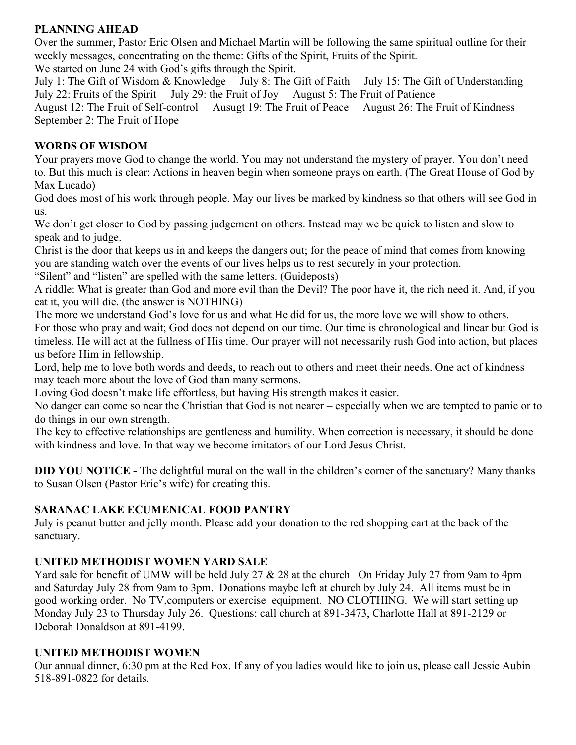# **PLANNING AHEAD**

Over the summer, Pastor Eric Olsen and Michael Martin will be following the same spiritual outline for their weekly messages, concentrating on the theme: Gifts of the Spirit, Fruits of the Spirit.

We started on June 24 with God's gifts through the Spirit.

July 1: The Gift of Wisdom & Knowledge July 8: The Gift of Faith July 15: The Gift of Understanding July 22: Fruits of the Spirit July 29: the Fruit of Joy August 5: The Fruit of Patience

August 12: The Fruit of Self-control Ausugt 19: The Fruit of Peace August 26: The Fruit of Kindness September 2: The Fruit of Hope

# **WORDS OF WISDOM**

Your prayers move God to change the world. You may not understand the mystery of prayer. You don't need to. But this much is clear: Actions in heaven begin when someone prays on earth. (The Great House of God by Max Lucado)

God does most of his work through people. May our lives be marked by kindness so that others will see God in us.

We don't get closer to God by passing judgement on others. Instead may we be quick to listen and slow to speak and to judge.

Christ is the door that keeps us in and keeps the dangers out; for the peace of mind that comes from knowing you are standing watch over the events of our lives helps us to rest securely in your protection.

"Silent" and "listen" are spelled with the same letters. (Guideposts)

A riddle: What is greater than God and more evil than the Devil? The poor have it, the rich need it. And, if you eat it, you will die. (the answer is NOTHING)

The more we understand God's love for us and what He did for us, the more love we will show to others. For those who pray and wait; God does not depend on our time. Our time is chronological and linear but God is timeless. He will act at the fullness of His time. Our prayer will not necessarily rush God into action, but places us before Him in fellowship.

Lord, help me to love both words and deeds, to reach out to others and meet their needs. One act of kindness may teach more about the love of God than many sermons.

Loving God doesn't make life effortless, but having His strength makes it easier.

No danger can come so near the Christian that God is not nearer – especially when we are tempted to panic or to do things in our own strength.

The key to effective relationships are gentleness and humility. When correction is necessary, it should be done with kindness and love. In that way we become imitators of our Lord Jesus Christ.

**DID YOU NOTICE -** The delightful mural on the wall in the children's corner of the sanctuary? Many thanks to Susan Olsen (Pastor Eric's wife) for creating this.

# **SARANAC LAKE ECUMENICAL FOOD PANTRY**

July is peanut butter and jelly month. Please add your donation to the red shopping cart at the back of the sanctuary.

# **UNITED METHODIST WOMEN YARD SALE**

Yard sale for benefit of UMW will be held July 27 & 28 at the church On Friday July 27 from 9am to 4pm and Saturday July 28 from 9am to 3pm. Donations maybe left at church by July 24. All items must be in good working order. No TV,computers or exercise equipment. NO CLOTHING. We will start setting up Monday July 23 to Thursday July 26. Questions: call church at 891-3473, Charlotte Hall at 891-2129 or Deborah Donaldson at 891-4199.

# **UNITED METHODIST WOMEN**

Our annual dinner, 6:30 pm at the Red Fox. If any of you ladies would like to join us, please call Jessie Aubin 518-891-0822 for details.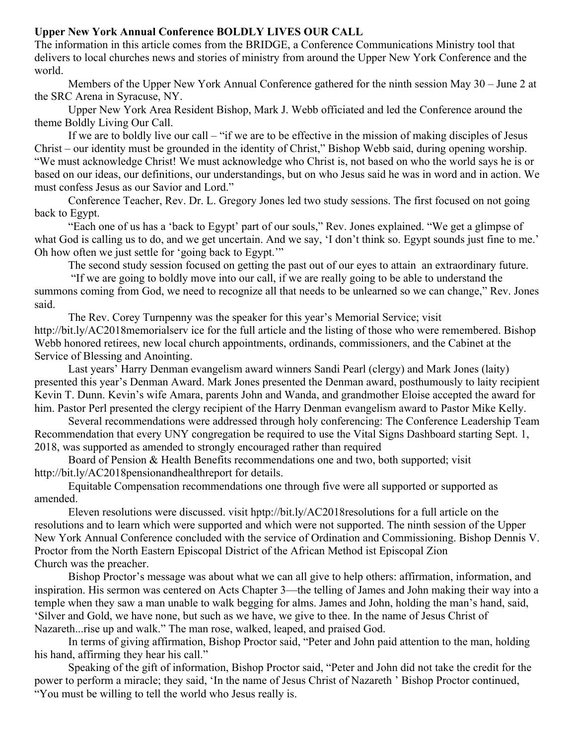## **Upper New York Annual Conference BOLDLY LIVES OUR CALL**

The information in this article comes from the BRIDGE, a Conference Communications Ministry tool that delivers to local churches news and stories of ministry from around the Upper New York Conference and the world.

Members of the Upper New York Annual Conference gathered for the ninth session May 30 – June 2 at the SRC Arena in Syracuse, NY.

Upper New York Area Resident Bishop, Mark J. Webb officiated and led the Conference around the theme Boldly Living Our Call.

If we are to boldly live our call – "if we are to be effective in the mission of making disciples of Jesus Christ – our identity must be grounded in the identity of Christ," Bishop Webb said, during opening worship. "We must acknowledge Christ! We must acknowledge who Christ is, not based on who the world says he is or based on our ideas, our definitions, our understandings, but on who Jesus said he was in word and in action. We must confess Jesus as our Savior and Lord."

Conference Teacher, Rev. Dr. L. Gregory Jones led two study sessions. The first focused on not going back to Egypt.

"Each one of us has a 'back to Egypt' part of our souls," Rev. Jones explained. "We get a glimpse of what God is calling us to do, and we get uncertain. And we say, 'I don't think so. Egypt sounds just fine to me.' Oh how often we just settle for 'going back to Egypt.'"

The second study session focused on getting the past out of our eyes to attain an extraordinary future.

"If we are going to boldly move into our call, if we are really going to be able to understand the summons coming from God, we need to recognize all that needs to be unlearned so we can change," Rev. Jones said.

The Rev. Corey Turnpenny was the speaker for this year's Memorial Service; visit http://bit.ly/AC2018memorialserv ice for the full article and the listing of those who were remembered. Bishop Webb honored retirees, new local church appointments, ordinands, commissioners, and the Cabinet at the Service of Blessing and Anointing.

Last years' Harry Denman evangelism award winners Sandi Pearl (clergy) and Mark Jones (laity) presented this year's Denman Award. Mark Jones presented the Denman award, posthumously to laity recipient Kevin T. Dunn. Kevin's wife Amara, parents John and Wanda, and grandmother Eloise accepted the award for him. Pastor Perl presented the clergy recipient of the Harry Denman evangelism award to Pastor Mike Kelly.

Several recommendations were addressed through holy conferencing: The Conference Leadership Team Recommendation that every UNY congregation be required to use the Vital Signs Dashboard starting Sept. 1, 2018, was supported as amended to strongly encouraged rather than required

Board of Pension & Health Benefits recommendations one and two, both supported; visit http://bit.ly/AC2018pensionandhealthreport for details.

Equitable Compensation recommendations one through five were all supported or supported as amended.

Eleven resolutions were discussed. visit hptp://bit.ly/AC2018resolutions for a full article on the resolutions and to learn which were supported and which were not supported. The ninth session of the Upper New York Annual Conference concluded with the service of Ordination and Commissioning. Bishop Dennis V. Proctor from the North Eastern Episcopal District of the African Method ist Episcopal Zion Church was the preacher.

Bishop Proctor's message was about what we can all give to help others: affirmation, information, and inspiration. His sermon was centered on Acts Chapter 3—the telling of James and John making their way into a temple when they saw a man unable to walk begging for alms. James and John, holding the man's hand, said, 'Silver and Gold, we have none, but such as we have, we give to thee. In the name of Jesus Christ of Nazareth...rise up and walk." The man rose, walked, leaped, and praised God.

In terms of giving affirmation, Bishop Proctor said, "Peter and John paid attention to the man, holding his hand, affirming they hear his call."

Speaking of the gift of information, Bishop Proctor said, "Peter and John did not take the credit for the power to perform a miracle; they said, 'In the name of Jesus Christ of Nazareth ' Bishop Proctor continued, "You must be willing to tell the world who Jesus really is.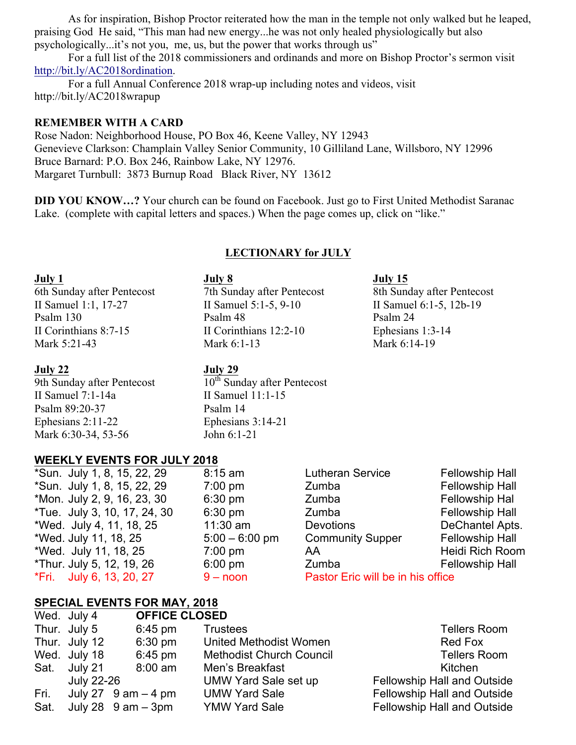As for inspiration, Bishop Proctor reiterated how the man in the temple not only walked but he leaped, praising God He said, "This man had new energy...he was not only healed physiologically but also psychologically...it's not you, me, us, but the power that works through us"

For a full list of the 2018 commissioners and ordinands and more on Bishop Proctor's sermon visit http://bit.ly/AC2018ordination.

For a full Annual Conference 2018 wrap-up including notes and videos, visit http://bit.ly/AC2018wrapup

## **REMEMBER WITH A CARD**

Rose Nadon: Neighborhood House, PO Box 46, Keene Valley, NY 12943 Genevieve Clarkson: Champlain Valley Senior Community, 10 Gilliland Lane, Willsboro, NY 12996 Bruce Barnard: P.O. Box 246, Rainbow Lake, NY 12976. Margaret Turnbull: 3873 Burnup Road Black River, NY 13612

**DID YOU KNOW…?** Your church can be found on Facebook. Just go to First United Methodist Saranac Lake. (complete with capital letters and spaces.) When the page comes up, click on "like."

## **LECTIONARY for JULY**

## **July 22 July 29**

II Samuel 7:1-14a II Samuel 11:1-15 Psalm 89:20-37 Psalm 14 Ephesians 2:11-22 Ephesians 3:14-21 Mark 6:30-34, 53-56 John 6:1-21

## **WEEKLY EVENTS FOR JULY 2018**

| *Sun. July 1, 8, 15, 22, 29  | 8:15    |
|------------------------------|---------|
| *Sun. July 1, 8, 15, 22, 29  | 7:00    |
| *Mon. July 2, 9, 16, 23, 30  | 6:30    |
| *Tue. July 3, 10, 17, 24, 30 | 6:30    |
| *Wed. July 4, 11, 18, 25     | 11:3    |
| *Wed. July 11, 18, 25        | 5:00    |
| *Wed. July 11, 18, 25        | 7:00    |
| *Thur. July 5, 12, 19, 26    | 6:00    |
| *Fri. July 6, 13, 20, 27     | $9 - r$ |

## **SPECIAL EVENTS FOR MAY, 2018** Wed. July 4 **OFFICE CLOSED**

|                   | $v$ cu. July 4 |                        | ULLIQE OLOGEN                   |                                    |  |
|-------------------|----------------|------------------------|---------------------------------|------------------------------------|--|
|                   | Thur. July 5   | $6:45 \text{ pm}$      | <b>Trustees</b>                 | <b>Tellers Room</b>                |  |
|                   | Thur. July 12  | $6:30 \text{ pm}$      | <b>United Methodist Women</b>   | Red Fox                            |  |
|                   | Wed. July 18   | $6:45 \text{ pm}$      | <b>Methodist Church Council</b> | <b>Tellers Room</b>                |  |
|                   | Sat. July 21   | 8:00 am                | Men's Breakfast                 | Kitchen                            |  |
| <b>July 22-26</b> |                |                        | UMW Yard Sale set up            | <b>Fellowship Hall and Outside</b> |  |
| Fri.              |                | July 27 $9$ am $-4$ pm | <b>UMW Yard Sale</b>            | <b>Fellowship Hall and Outside</b> |  |
| Sat.              |                | July 28 $9$ am $-$ 3pm | <b>YMW Yard Sale</b>            | <b>Fellowship Hall and Outside</b> |  |
|                   |                |                        |                                 |                                    |  |

## **July 1 July 8 July 15** 6th Sunday after Pentecost 7th Sunday after Pentecost 8th Sunday after Pentecost II Samuel 1:1, 17-27 II Samuel 5:1-5, 9-10 II Samuel 6:1-5, 12b-19 Psalm 130 **Psalm 48** Psalm 24 **Psalm 24** II Corinthians  $8:7-15$  II Corinthians  $12:2-10$  Ephesians  $1:3-14$ Mark 5:21-43 Mark 6:1-13 Mark 6:14-19

9th Sunday after Pentecost  $10^{th}$  Sunday after Pentecost

am **Eutheran Service** Fellowship Hall pm Zumba **Zumba** Fellowship Hall pm Zumba **Zumba** Fellowship Hal pm Zumba **Zumba** Fellowship Hall 0 am **Devotions** DeChantel Apts. - 6:00 pm Community Supper Fellowship Hall pm and AA Heidi Rich Room pm Zumba **Fellowship Hall** \*Fri. July 6, 13, 20, 27 9 – noon Pastor Eric will be in his office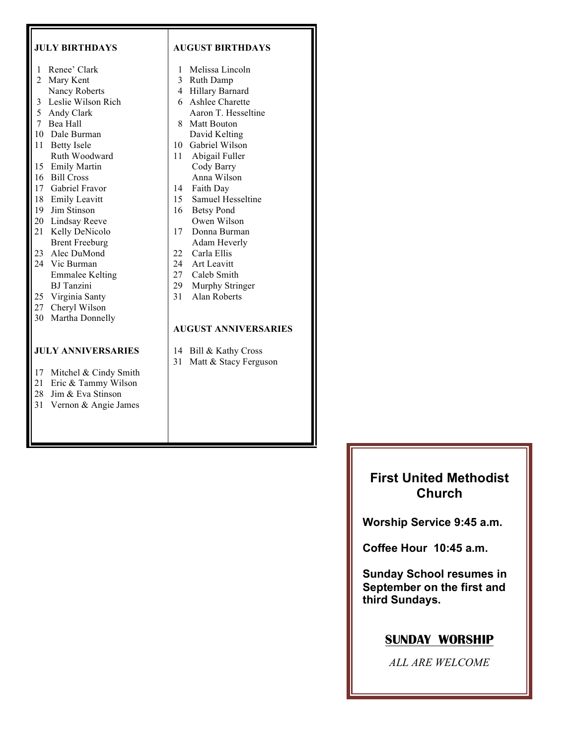## **JULY BIRTHDAYS**

- 1 Renee' Clark
- 2 Mary Kent
- Nancy Roberts 3 Leslie Wilson Rich
- 5 Andy Clark
- 7 Bea Hall
- 10 Dale Burman
- 11 Betty Isele Ruth Woodward
- 15 Emily Martin
- 16 Bill Cross
- 17 Gabriel Fravor
- 18 Emily Leavitt
- 19 Jim Stinson
- 20 Lindsay Reeve
- 21 Kelly DeNicolo Brent Freeburg
- 23 Alec DuMond
- 24 Vic Burman Emmalee Kelting BJ Tanzini
- 25 Virginia Santy
- 27 Cheryl Wilson
- 30 Martha Donnelly

## **JULY ANNIVERSARIES**

- 17 Mitchel & Cindy Smith
- 21 Eric & Tammy Wilson
- 28 Jim & Eva Stinson
- 31 Vernon & Angie James

## **AUGUST BIRTHDAYS**

- 1 Melissa Lincoln
- 3 Ruth Damp
- 4 Hillary Barnard
- 6 Ashlee Charette
- Aaron T. Hesseltine 8 Matt Bouton
- David Kelting 10 Gabriel Wilson
- 11 Abigail Fuller
- Cody Barry Anna Wilson
- 14 Faith Day
- 15 Samuel Hesseltine
- 16 Betsy Pond
	- Owen Wilson
- 17 Donna Burman Adam Heverly
- 22 Carla Ellis
- 24 Art Leavitt
- 27 Caleb Smith
- 29 Murphy Stringer
- 31 Alan Roberts

## **AUGUST ANNIVERSARIES**

- 14 Bill & Kathy Cross
- 31 Matt & Stacy Ferguson

# **First United Methodist Church**

**Worship Service 9:45 a.m.**

**Coffee Hour 10:45 a.m.**

**Sunday School resumes in September on the first and third Sundays.**

# **SUNDAY WORSHIP**

*ALL ARE WELCOME*